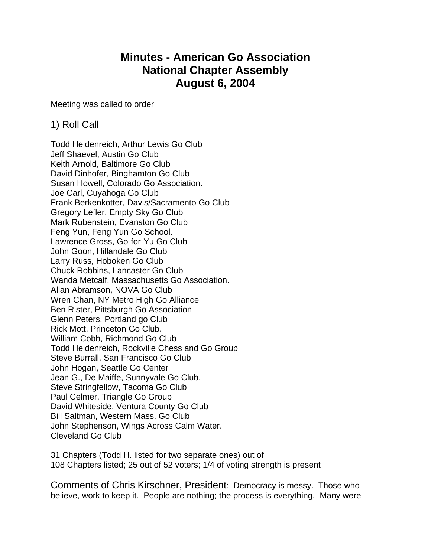# **Minutes - American Go Association National Chapter Assembly August 6, 2004**

Meeting was called to order

### 1) Roll Call

Todd Heidenreich, Arthur Lewis Go Club Jeff Shaevel, Austin Go Club Keith Arnold, Baltimore Go Club David Dinhofer, Binghamton Go Club Susan Howell, Colorado Go Association. Joe Carl, Cuyahoga Go Club Frank Berkenkotter, Davis/Sacramento Go Club Gregory Lefler, Empty Sky Go Club Mark Rubenstein, Evanston Go Club Feng Yun, Feng Yun Go School. Lawrence Gross, Go-for-Yu Go Club John Goon, Hillandale Go Club Larry Russ, Hoboken Go Club Chuck Robbins, Lancaster Go Club Wanda Metcalf, Massachusetts Go Association. Allan Abramson, NOVA Go Club Wren Chan, NY Metro High Go Alliance Ben Rister, Pittsburgh Go Association Glenn Peters, Portland go Club Rick Mott, Princeton Go Club. William Cobb, Richmond Go Club Todd Heidenreich, Rockville Chess and Go Group Steve Burrall, San Francisco Go Club John Hogan, Seattle Go Center Jean G., De Maiffe, Sunnyvale Go Club. Steve Stringfellow, Tacoma Go Club Paul Celmer, Triangle Go Group David Whiteside, Ventura County Go Club Bill Saltman, Western Mass. Go Club John Stephenson, Wings Across Calm Water. Cleveland Go Club

31 Chapters (Todd H. listed for two separate ones) out of 108 Chapters listed; 25 out of 52 voters; 1/4 of voting strength is present

Comments of Chris Kirschner, President: Democracy is messy. Those who believe, work to keep it. People are nothing; the process is everything. Many were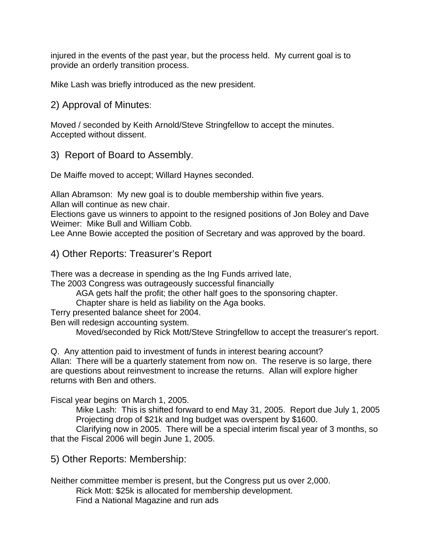injured in the events of the past year, but the process held. My current goal is to provide an orderly transition process.

Mike Lash was briefly introduced as the new president.

2) Approval of Minutes:

Moved / seconded by Keith Arnold/Steve Stringfellow to accept the minutes. Accepted without dissent.

3) Report of Board to Assembly.

De Maiffe moved to accept; Willard Haynes seconded.

Allan Abramson: My new goal is to double membership within five years. Allan will continue as new chair.

Elections gave us winners to appoint to the resigned positions of Jon Boley and Dave Weimer: Mike Bull and William Cobb.

Lee Anne Bowie accepted the position of Secretary and was approved by the board.

#### 4) Other Reports: Treasurer's Report

There was a decrease in spending as the Ing Funds arrived late,

The 2003 Congress was outrageously successful financially

AGA gets half the profit; the other half goes to the sponsoring chapter.

Chapter share is held as liability on the Aga books.

Terry presented balance sheet for 2004.

Ben will redesign accounting system.

Moved/seconded by Rick Mott/Steve Stringfellow to accept the treasurer's report.

Q. Any attention paid to investment of funds in interest bearing account? Allan: There will be a quarterly statement from now on. The reserve is so large, there are questions about reinvestment to increase the returns. Allan will explore higher returns with Ben and others.

Fiscal year begins on March 1, 2005.

Mike Lash: This is shifted forward to end May 31, 2005. Report due July 1, 2005 Projecting drop of \$21k and Ing budget was overspent by \$1600.

 Clarifying now in 2005. There will be a special interim fiscal year of 3 months, so that the Fiscal 2006 will begin June 1, 2005.

5) Other Reports: Membership:

Neither committee member is present, but the Congress put us over 2,000.

Rick Mott: \$25k is allocated for membership development. Find a National Magazine and run ads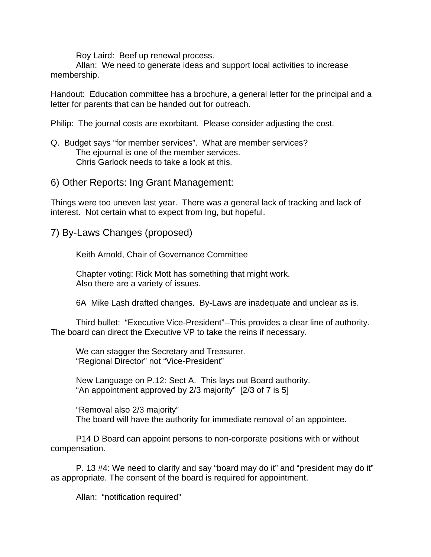Roy Laird: Beef up renewal process.

Allan: We need to generate ideas and support local activities to increase membership.

Handout: Education committee has a brochure, a general letter for the principal and a letter for parents that can be handed out for outreach.

Philip: The journal costs are exorbitant. Please consider adjusting the cost.

Q. Budget says "for member services". What are member services? The ejournal is one of the member services. Chris Garlock needs to take a look at this.

6) Other Reports: Ing Grant Management:

Things were too uneven last year. There was a general lack of tracking and lack of interest. Not certain what to expect from Ing, but hopeful.

7) By-Laws Changes (proposed)

Keith Arnold, Chair of Governance Committee

Chapter voting: Rick Mott has something that might work. Also there are a variety of issues.

6A Mike Lash drafted changes. By-Laws are inadequate and unclear as is.

Third bullet: "Executive Vice-President"--This provides a clear line of authority. The board can direct the Executive VP to take the reins if necessary.

We can stagger the Secretary and Treasurer. "Regional Director" not "Vice-President"

New Language on P.12: Sect A. This lays out Board authority. "An appointment approved by 2/3 majority" [2/3 of 7 is 5]

"Removal also 2/3 majority" The board will have the authority for immediate removal of an appointee.

P14 D Board can appoint persons to non-corporate positions with or without compensation.

P. 13 #4: We need to clarify and say "board may do it" and "president may do it" as appropriate. The consent of the board is required for appointment.

Allan: "notification required"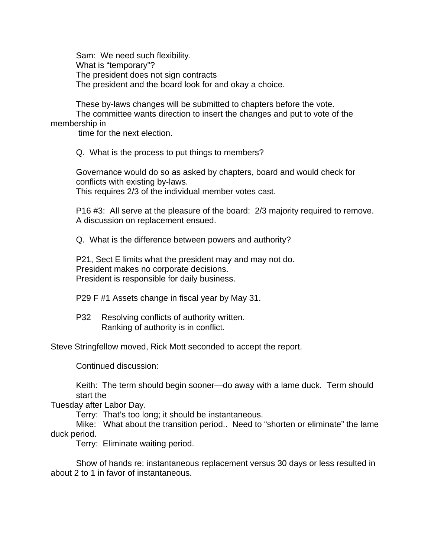Sam: We need such flexibility. What is "temporary"? The president does not sign contracts The president and the board look for and okay a choice.

These by-laws changes will be submitted to chapters before the vote. The committee wants direction to insert the changes and put to vote of the membership in

time for the next election.

Q. What is the process to put things to members?

Governance would do so as asked by chapters, board and would check for conflicts with existing by-laws. This requires 2/3 of the individual member votes cast.

P16 #3: All serve at the pleasure of the board: 2/3 majority required to remove. A discussion on replacement ensued.

Q. What is the difference between powers and authority?

P21, Sect E limits what the president may and may not do. President makes no corporate decisions. President is responsible for daily business.

P29 F #1 Assets change in fiscal year by May 31.

P32 Resolving conflicts of authority written. Ranking of authority is in conflict.

Steve Stringfellow moved, Rick Mott seconded to accept the report.

Continued discussion:

Keith: The term should begin sooner—do away with a lame duck. Term should start the

Tuesday after Labor Day.

Terry: That's too long; it should be instantaneous.

Mike: What about the transition period.. Need to "shorten or eliminate" the lame duck period.

Terry: Eliminate waiting period.

Show of hands re: instantaneous replacement versus 30 days or less resulted in about 2 to 1 in favor of instantaneous.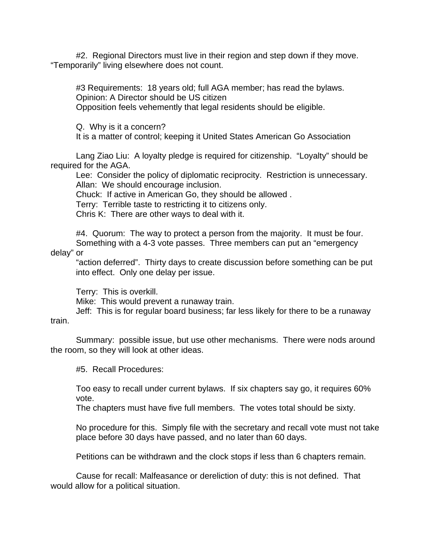#2. Regional Directors must live in their region and step down if they move. "Temporarily" living elsewhere does not count.

#3 Requirements: 18 years old; full AGA member; has read the bylaws. Opinion: A Director should be US citizen Opposition feels vehemently that legal residents should be eligible.

Q. Why is it a concern?

It is a matter of control; keeping it United States American Go Association

Lang Ziao Liu: A loyalty pledge is required for citizenship. "Loyalty" should be required for the AGA.

Lee: Consider the policy of diplomatic reciprocity. Restriction is unnecessary. Allan: We should encourage inclusion.

Chuck: If active in American Go, they should be allowed .

Terry: Terrible taste to restricting it to citizens only.

Chris K: There are other ways to deal with it.

#4. Quorum: The way to protect a person from the majority. It must be four. Something with a 4-3 vote passes. Three members can put an "emergency

delay" or

"action deferred". Thirty days to create discussion before something can be put into effect. Only one delay per issue.

Terry: This is overkill.

Mike: This would prevent a runaway train.

Jeff: This is for regular board business; far less likely for there to be a runaway

train.

Summary: possible issue, but use other mechanisms. There were nods around the room, so they will look at other ideas.

#5. Recall Procedures:

Too easy to recall under current bylaws. If six chapters say go, it requires 60% vote.

The chapters must have five full members. The votes total should be sixty.

No procedure for this. Simply file with the secretary and recall vote must not take place before 30 days have passed, and no later than 60 days.

Petitions can be withdrawn and the clock stops if less than 6 chapters remain.

Cause for recall: Malfeasance or dereliction of duty: this is not defined. That would allow for a political situation.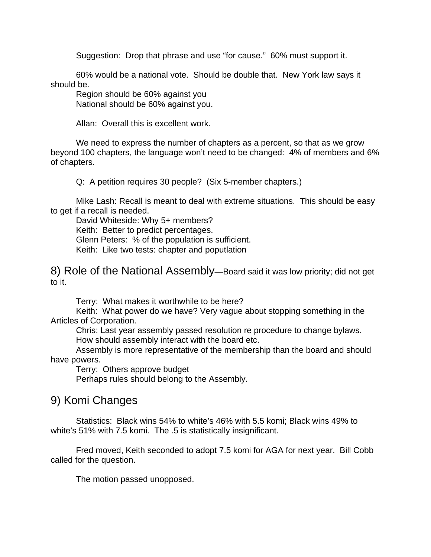Suggestion: Drop that phrase and use "for cause." 60% must support it.

60% would be a national vote. Should be double that. New York law says it should be.

Region should be 60% against you National should be 60% against you.

Allan: Overall this is excellent work.

We need to express the number of chapters as a percent, so that as we grow beyond 100 chapters, the language won't need to be changed: 4% of members and 6% of chapters.

Q: A petition requires 30 people? (Six 5-member chapters.)

Mike Lash: Recall is meant to deal with extreme situations. This should be easy to get if a recall is needed.

David Whiteside: Why 5+ members? Keith: Better to predict percentages. Glenn Peters: % of the population is sufficient. Keith: Like two tests: chapter and poputlation

8) Role of the National Assembly—Board said it was low priority; did not get to it.

Terry: What makes it worthwhile to be here?

Keith: What power do we have? Very vague about stopping something in the Articles of Corporation.

Chris: Last year assembly passed resolution re procedure to change bylaws. How should assembly interact with the board etc.

Assembly is more representative of the membership than the board and should have powers.

Terry: Others approve budget

Perhaps rules should belong to the Assembly.

### 9) Komi Changes

Statistics: Black wins 54% to white's 46% with 5.5 komi; Black wins 49% to white's 51% with 7.5 komi. The .5 is statistically insignificant.

Fred moved, Keith seconded to adopt 7.5 komi for AGA for next year. Bill Cobb called for the question.

The motion passed unopposed.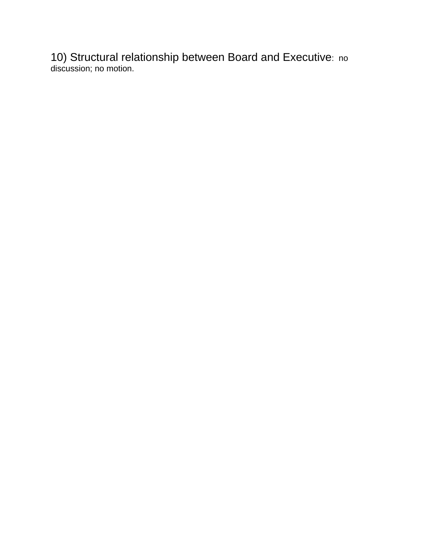10) Structural relationship between Board and Executive: no discussion; no motion.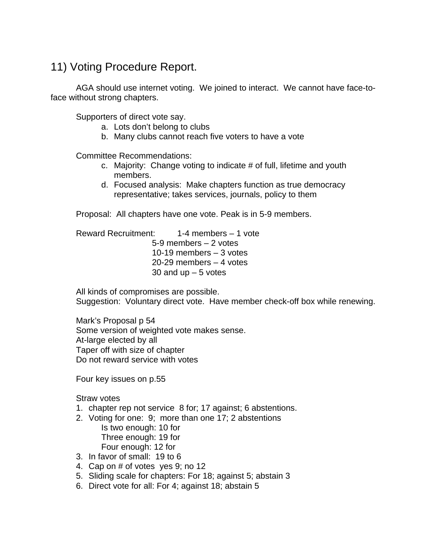# 11) Voting Procedure Report.

AGA should use internet voting. We joined to interact. We cannot have face-toface without strong chapters.

Supporters of direct vote say.

- a. Lots don't belong to clubs
- b. Many clubs cannot reach five voters to have a vote

Committee Recommendations:

- c. Majority: Change voting to indicate # of full, lifetime and youth members.
- d. Focused analysis: Make chapters function as true democracy representative; takes services, journals, policy to them

Proposal: All chapters have one vote. Peak is in 5-9 members.

Reward Recruitment: 1-4 members – 1 vote 5-9 members – 2 votes 10-19 members – 3 votes 20-29 members – 4 votes 30 and  $up - 5$  votes

All kinds of compromises are possible. Suggestion: Voluntary direct vote. Have member check-off box while renewing.

Mark's Proposal p 54 Some version of weighted vote makes sense. At-large elected by all Taper off with size of chapter Do not reward service with votes

Four key issues on p.55

Straw votes

- 1. chapter rep not service 8 for; 17 against; 6 abstentions.
- 2. Voting for one: 9; more than one 17; 2 abstentions
	- Is two enough: 10 for Three enough: 19 for Four enough: 12 for
- 3. In favor of small: 19 to 6
- 4. Cap on # of votes yes 9; no 12
- 5. Sliding scale for chapters: For 18; against 5; abstain 3
- 6. Direct vote for all: For 4; against 18; abstain 5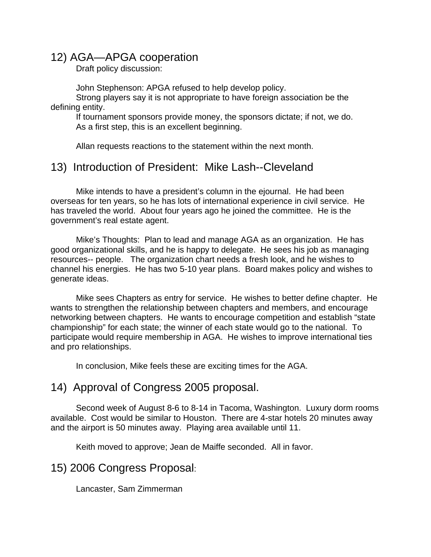## 12) AGA—APGA cooperation

Draft policy discussion:

John Stephenson: APGA refused to help develop policy.

Strong players say it is not appropriate to have foreign association be the defining entity.

If tournament sponsors provide money, the sponsors dictate; if not, we do. As a first step, this is an excellent beginning.

Allan requests reactions to the statement within the next month.

## 13) Introduction of President: Mike Lash--Cleveland

Mike intends to have a president's column in the ejournal. He had been overseas for ten years, so he has lots of international experience in civil service. He has traveled the world. About four years ago he joined the committee. He is the government's real estate agent.

Mike's Thoughts: Plan to lead and manage AGA as an organization. He has good organizational skills, and he is happy to delegate. He sees his job as managing resources-- people. The organization chart needs a fresh look, and he wishes to channel his energies. He has two 5-10 year plans. Board makes policy and wishes to generate ideas.

Mike sees Chapters as entry for service. He wishes to better define chapter. He wants to strengthen the relationship between chapters and members, and encourage networking between chapters. He wants to encourage competition and establish "state championship" for each state; the winner of each state would go to the national. To participate would require membership in AGA. He wishes to improve international ties and pro relationships.

In conclusion, Mike feels these are exciting times for the AGA.

### 14) Approval of Congress 2005 proposal.

Second week of August 8-6 to 8-14 in Tacoma, Washington. Luxury dorm rooms available. Cost would be similar to Houston. There are 4-star hotels 20 minutes away and the airport is 50 minutes away. Playing area available until 11.

Keith moved to approve; Jean de Maiffe seconded. All in favor.

### 15) 2006 Congress Proposal:

Lancaster, Sam Zimmerman